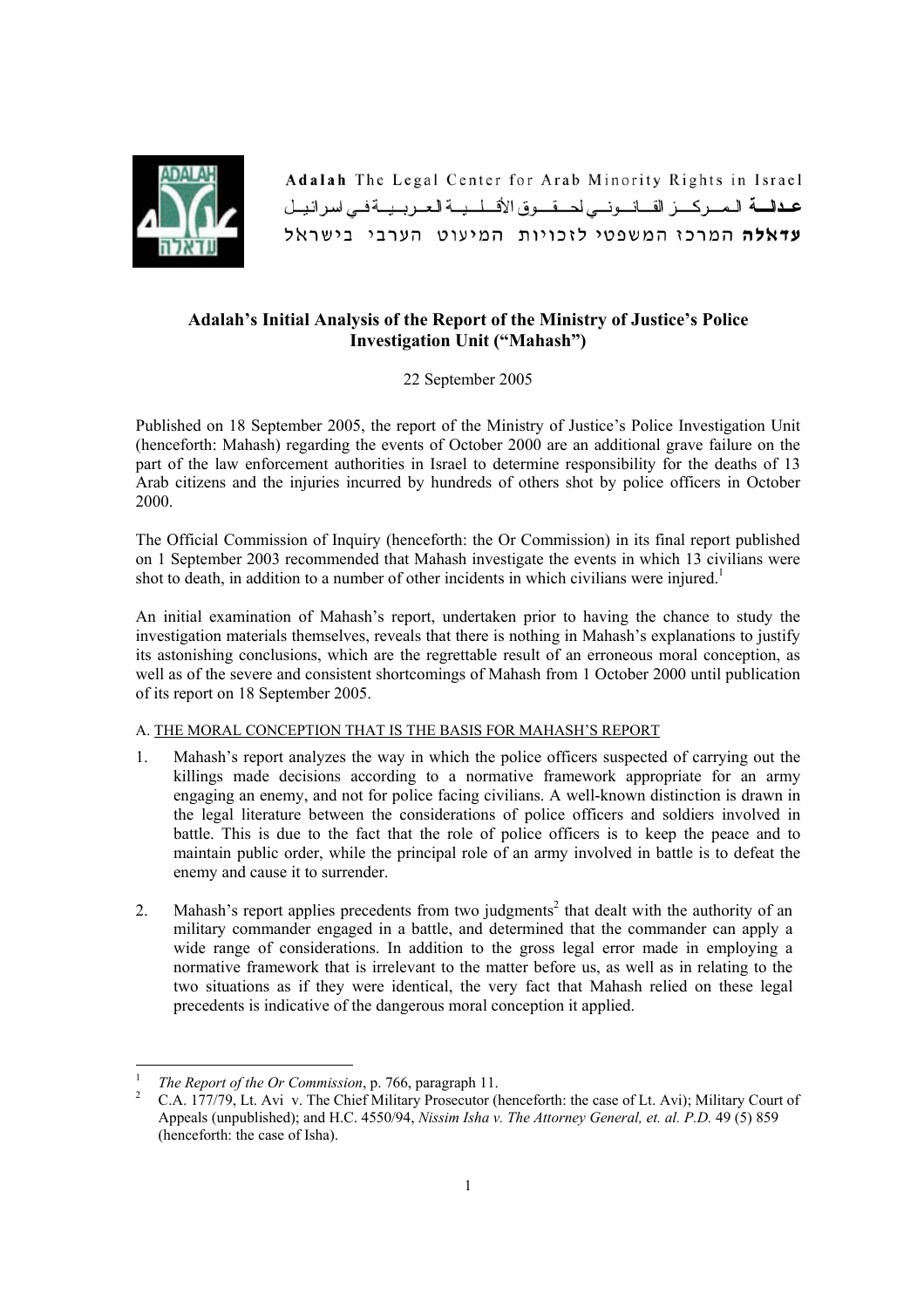

Adalah The Legal Center for Arab Minority Rights in Israel عدالة المركيز القانوني لحيقوق الأقبليية العربيية في اسرائيل עדאלה המרכו המשפטי לוכויות המיעוט הערבי בישראל

# **Adalah's Initial Analysis of the Report of the Ministry of Justice's Police Investigation Unit ("Mahash")**

22 September 2005

Published on 18 September 2005, the report of the Ministry of Justice's Police Investigation Unit (henceforth: Mahash) regarding the events of October 2000 are an additional grave failure on the part of the law enforcement authorities in Israel to determine responsibility for the deaths of 13 Arab citizens and the injuries incurred by hundreds of others shot by police officers in October 2000.

The Official Commission of Inquiry (henceforth: the Or Commission) in its final report published on 1 September 2003 recommended that Mahash investigate the events in which 13 civilians were shot to death, in addition to a number of other incidents in which civilians were injured.<sup>1</sup>

An initial examination of Mahash's report, undertaken prior to having the chance to study the investigation materials themselves, reveals that there is nothing in Mahash's explanations to justify its astonishing conclusions, which are the regrettable result of an erroneous moral conception, as well as of the severe and consistent shortcomings of Mahash from 1 October 2000 until publication of its report on 18 September 2005.

# A. THE MORAL CONCEPTION THAT IS THE BASIS FOR MAHASH'S REPORT

- 1. Mahash's report analyzes the way in which the police officers suspected of carrying out the killings made decisions according to a normative framework appropriate for an army engaging an enemy, and not for police facing civilians. A well-known distinction is drawn in the legal literature between the considerations of police officers and soldiers involved in battle. This is due to the fact that the role of police officers is to keep the peace and to maintain public order, while the principal role of an army involved in battle is to defeat the enemy and cause it to surrender.
- 2. Mahash's report applies precedents from two judgments<sup>2</sup> that dealt with the authority of an military commander engaged in a battle, and determined that the commander can apply a wide range of considerations. In addition to the gross legal error made in employing a normative framework that is irrelevant to the matter before us, as well as in relating to the two situations as if they were identical, the very fact that Mahash relied on these legal precedents is indicative of the dangerous moral conception it applied.

 1 <sup>1</sup> *The Report of the Or Commission*, p. 766, paragraph 11.

C.A. 177/79, Lt. Avi v. The Chief Military Prosecutor (henceforth: the case of Lt. Avi); Military Court of Appeals (unpublished); and H.C. 4550/94, *Nissim Isha v. The Attorney General, et. al. P.D.* 49 (5) 859 (henceforth: the case of Isha).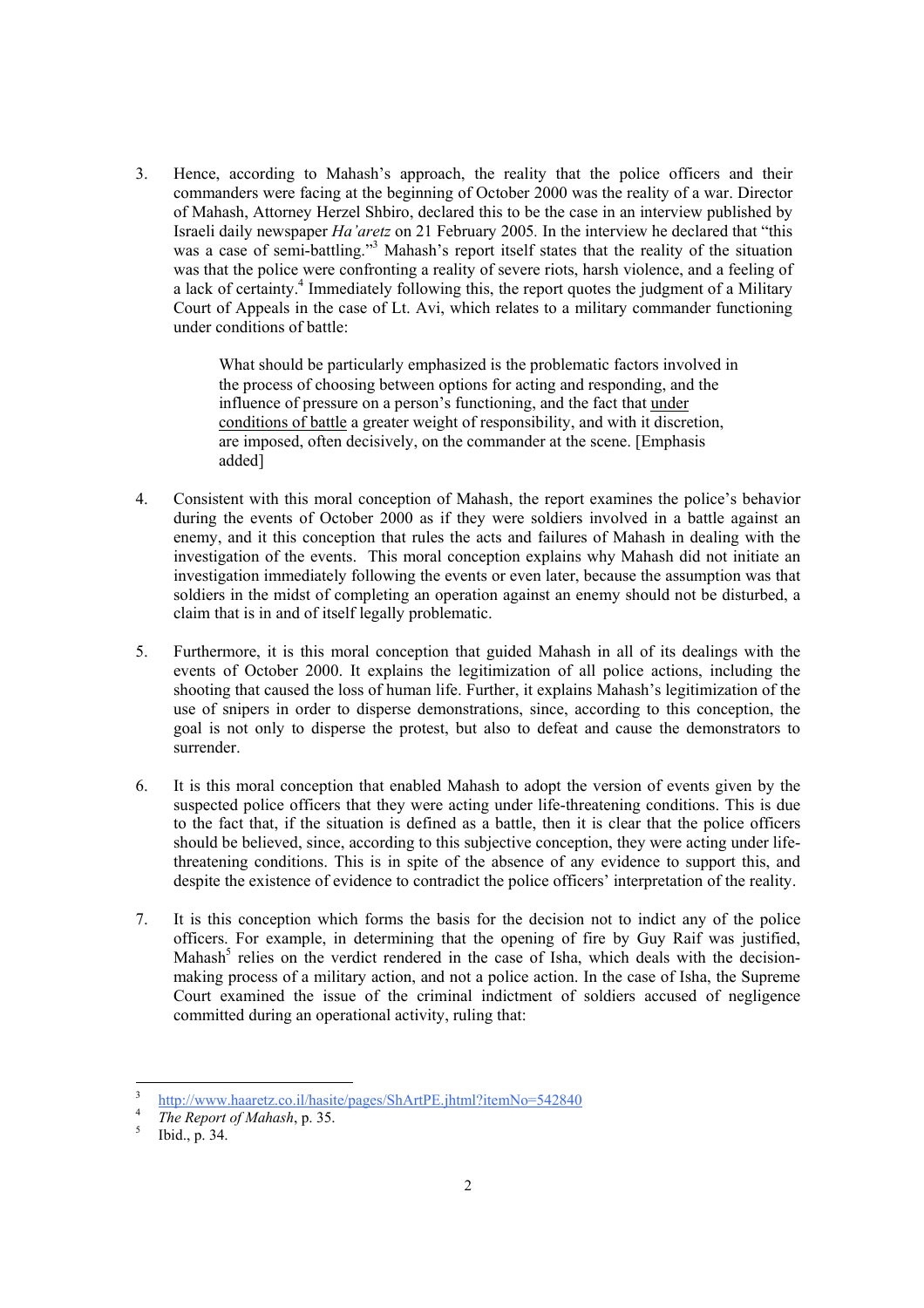3. Hence, according to Mahash's approach, the reality that the police officers and their commanders were facing at the beginning of October 2000 was the reality of a war. Director of Mahash, Attorney Herzel Shbiro, declared this to be the case in an interview published by Israeli daily newspaper *Ha'aretz* on 21 February 2005*.* In the interview he declared that "this was a case of semi-battling."<sup>3</sup> Mahash's report itself states that the reality of the situation was that the police were confronting a reality of severe riots, harsh violence, and a feeling of a lack of certainty.<sup>4</sup> Immediately following this, the report quotes the judgment of a Military Court of Appeals in the case of Lt. Avi, which relates to a military commander functioning under conditions of battle:

> What should be particularly emphasized is the problematic factors involved in the process of choosing between options for acting and responding, and the influence of pressure on a person's functioning, and the fact that under conditions of battle a greater weight of responsibility, and with it discretion, are imposed, often decisively, on the commander at the scene. [Emphasis added]

- 4. Consistent with this moral conception of Mahash, the report examines the police's behavior during the events of October 2000 as if they were soldiers involved in a battle against an enemy, and it this conception that rules the acts and failures of Mahash in dealing with the investigation of the events. This moral conception explains why Mahash did not initiate an investigation immediately following the events or even later, because the assumption was that soldiers in the midst of completing an operation against an enemy should not be disturbed, a claim that is in and of itself legally problematic.
- 5. Furthermore, it is this moral conception that guided Mahash in all of its dealings with the events of October 2000. It explains the legitimization of all police actions, including the shooting that caused the loss of human life. Further, it explains Mahash's legitimization of the use of snipers in order to disperse demonstrations, since, according to this conception, the goal is not only to disperse the protest, but also to defeat and cause the demonstrators to surrender.
- 6. It is this moral conception that enabled Mahash to adopt the version of events given by the suspected police officers that they were acting under life-threatening conditions. This is due to the fact that, if the situation is defined as a battle, then it is clear that the police officers should be believed, since, according to this subjective conception, they were acting under lifethreatening conditions. This is in spite of the absence of any evidence to support this, and despite the existence of evidence to contradict the police officers' interpretation of the reality.
- 7. It is this conception which forms the basis for the decision not to indict any of the police officers. For example, in determining that the opening of fire by Guy Raif was justified, Mahash<sup>5</sup> relies on the verdict rendered in the case of Isha, which deals with the decisionmaking process of a military action, and not a police action. In the case of Isha, the Supreme Court examined the issue of the criminal indictment of soldiers accused of negligence committed during an operational activity, ruling that:

<sup>3</sup>  $\frac{1}{100}$  http://www.haaretz.co.il/hasite/pages/ShArtPE.jhtml?itemNo=542840

 $\frac{4}{5}$  The Report of *Mahash*, p. 35.

Ibid., p. 34.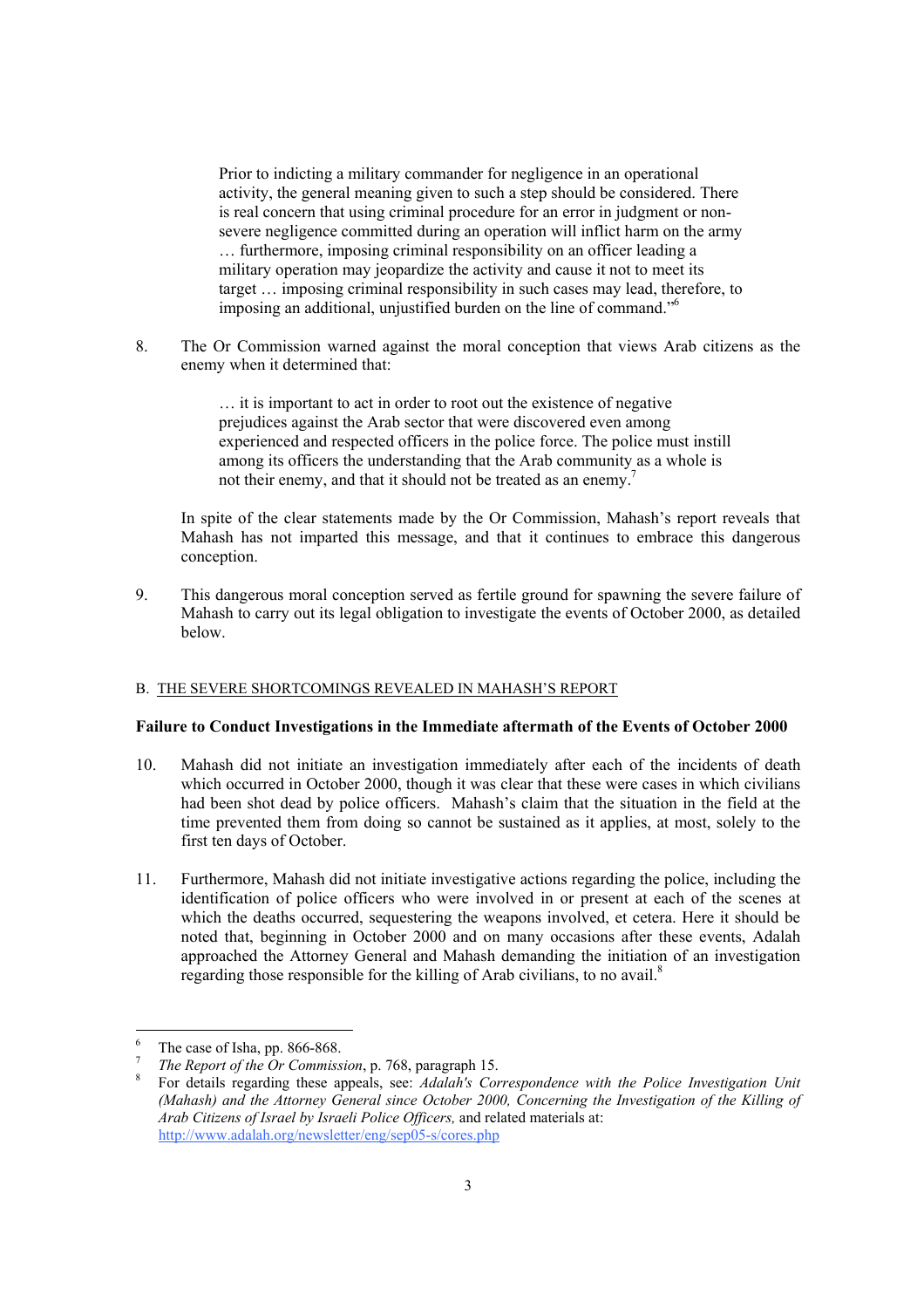Prior to indicting a military commander for negligence in an operational activity, the general meaning given to such a step should be considered. There is real concern that using criminal procedure for an error in judgment or nonsevere negligence committed during an operation will inflict harm on the army … furthermore, imposing criminal responsibility on an officer leading a military operation may jeopardize the activity and cause it not to meet its target … imposing criminal responsibility in such cases may lead, therefore, to imposing an additional, unjustified burden on the line of command."6

8. The Or Commission warned against the moral conception that views Arab citizens as the enemy when it determined that:

> … it is important to act in order to root out the existence of negative prejudices against the Arab sector that were discovered even among experienced and respected officers in the police force. The police must instill among its officers the understanding that the Arab community as a whole is not their enemy, and that it should not be treated as an enemy.<sup>7</sup>

 In spite of the clear statements made by the Or Commission, Mahash's report reveals that Mahash has not imparted this message, and that it continues to embrace this dangerous conception.

9. This dangerous moral conception served as fertile ground for spawning the severe failure of Mahash to carry out its legal obligation to investigate the events of October 2000, as detailed below.

### B. THE SEVERE SHORTCOMINGS REVEALED IN MAHASH'S REPORT

### **Failure to Conduct Investigations in the Immediate aftermath of the Events of October 2000**

- 10. Mahash did not initiate an investigation immediately after each of the incidents of death which occurred in October 2000, though it was clear that these were cases in which civilians had been shot dead by police officers. Mahash's claim that the situation in the field at the time prevented them from doing so cannot be sustained as it applies, at most, solely to the first ten days of October.
- 11. Furthermore, Mahash did not initiate investigative actions regarding the police, including the identification of police officers who were involved in or present at each of the scenes at which the deaths occurred, sequestering the weapons involved, et cetera. Here it should be noted that, beginning in October 2000 and on many occasions after these events, Adalah approached the Attorney General and Mahash demanding the initiation of an investigation regarding those responsible for the killing of Arab civilians, to no avail.<sup>8</sup>

 6 The case of Isha, pp. 866-868.

<sup>7</sup>

*The Report of the Or Commission*, p. 768, paragraph 15.<br>For details regarding these appeals, see: *Adalah's Correspondence with the Police Investigation Unit (Mahash) and the Attorney General since October 2000, Concerning the Investigation of the Killing of Arab Citizens of Israel by Israeli Police Officers,* and related materials at: http://www.adalah.org/newsletter/eng/sep05-s/cores.php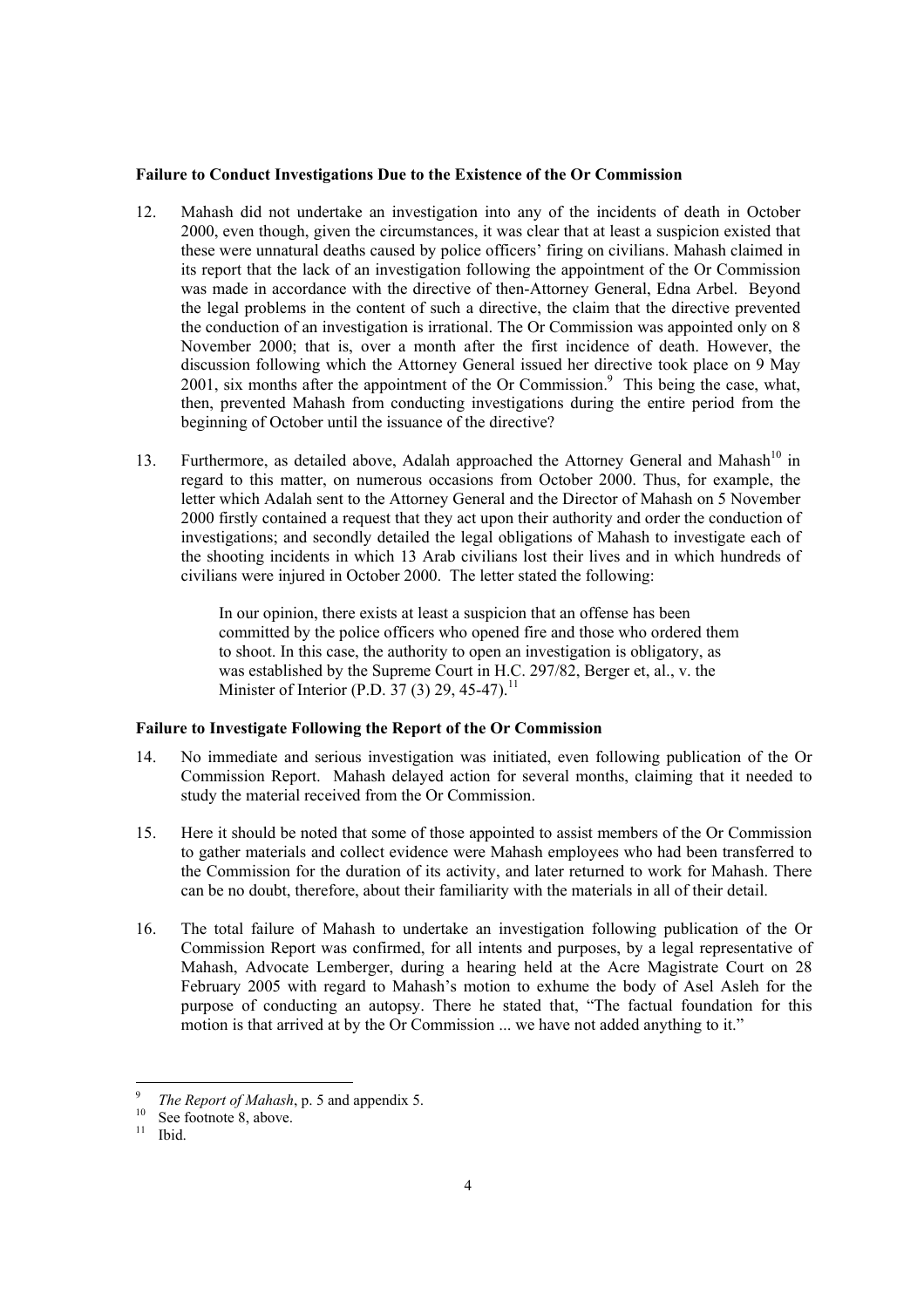#### **Failure to Conduct Investigations Due to the Existence of the Or Commission**

- 12. Mahash did not undertake an investigation into any of the incidents of death in October 2000, even though, given the circumstances, it was clear that at least a suspicion existed that these were unnatural deaths caused by police officers' firing on civilians. Mahash claimed in its report that the lack of an investigation following the appointment of the Or Commission was made in accordance with the directive of then-Attorney General, Edna Arbel. Beyond the legal problems in the content of such a directive, the claim that the directive prevented the conduction of an investigation is irrational. The Or Commission was appointed only on 8 November 2000; that is, over a month after the first incidence of death. However, the discussion following which the Attorney General issued her directive took place on 9 May 2001, six months after the appointment of the Or Commission.<sup>9</sup> This being the case, what, then, prevented Mahash from conducting investigations during the entire period from the beginning of October until the issuance of the directive?
- 13. Furthermore, as detailed above, Adalah approached the Attorney General and Mahash<sup>10</sup> in regard to this matter, on numerous occasions from October 2000. Thus, for example, the letter which Adalah sent to the Attorney General and the Director of Mahash on 5 November 2000 firstly contained a request that they act upon their authority and order the conduction of investigations; and secondly detailed the legal obligations of Mahash to investigate each of the shooting incidents in which 13 Arab civilians lost their lives and in which hundreds of civilians were injured in October 2000. The letter stated the following:

 In our opinion, there exists at least a suspicion that an offense has been committed by the police officers who opened fire and those who ordered them to shoot. In this case, the authority to open an investigation is obligatory, as was established by the Supreme Court in H.C. 297/82, Berger et, al., v. the Minister of Interior (P.D. 37 (3) 29, 45-47).<sup>11</sup>

# **Failure to Investigate Following the Report of the Or Commission**

- 14. No immediate and serious investigation was initiated, even following publication of the Or Commission Report. Mahash delayed action for several months, claiming that it needed to study the material received from the Or Commission.
- 15. Here it should be noted that some of those appointed to assist members of the Or Commission to gather materials and collect evidence were Mahash employees who had been transferred to the Commission for the duration of its activity, and later returned to work for Mahash. There can be no doubt, therefore, about their familiarity with the materials in all of their detail.
- 16. The total failure of Mahash to undertake an investigation following publication of the Or Commission Report was confirmed, for all intents and purposes, by a legal representative of Mahash, Advocate Lemberger, during a hearing held at the Acre Magistrate Court on 28 February 2005 with regard to Mahash's motion to exhume the body of Asel Asleh for the purpose of conducting an autopsy. There he stated that, "The factual foundation for this motion is that arrived at by the Or Commission ... we have not added anything to it."

<sup>9</sup> <sup>9</sup> *The Report of Mahash*, p. 5 and appendix 5.<br><sup>10</sup> See footnote 8, above.<br><sup>11</sup> Ibid

<sup>11</sup> Ibid.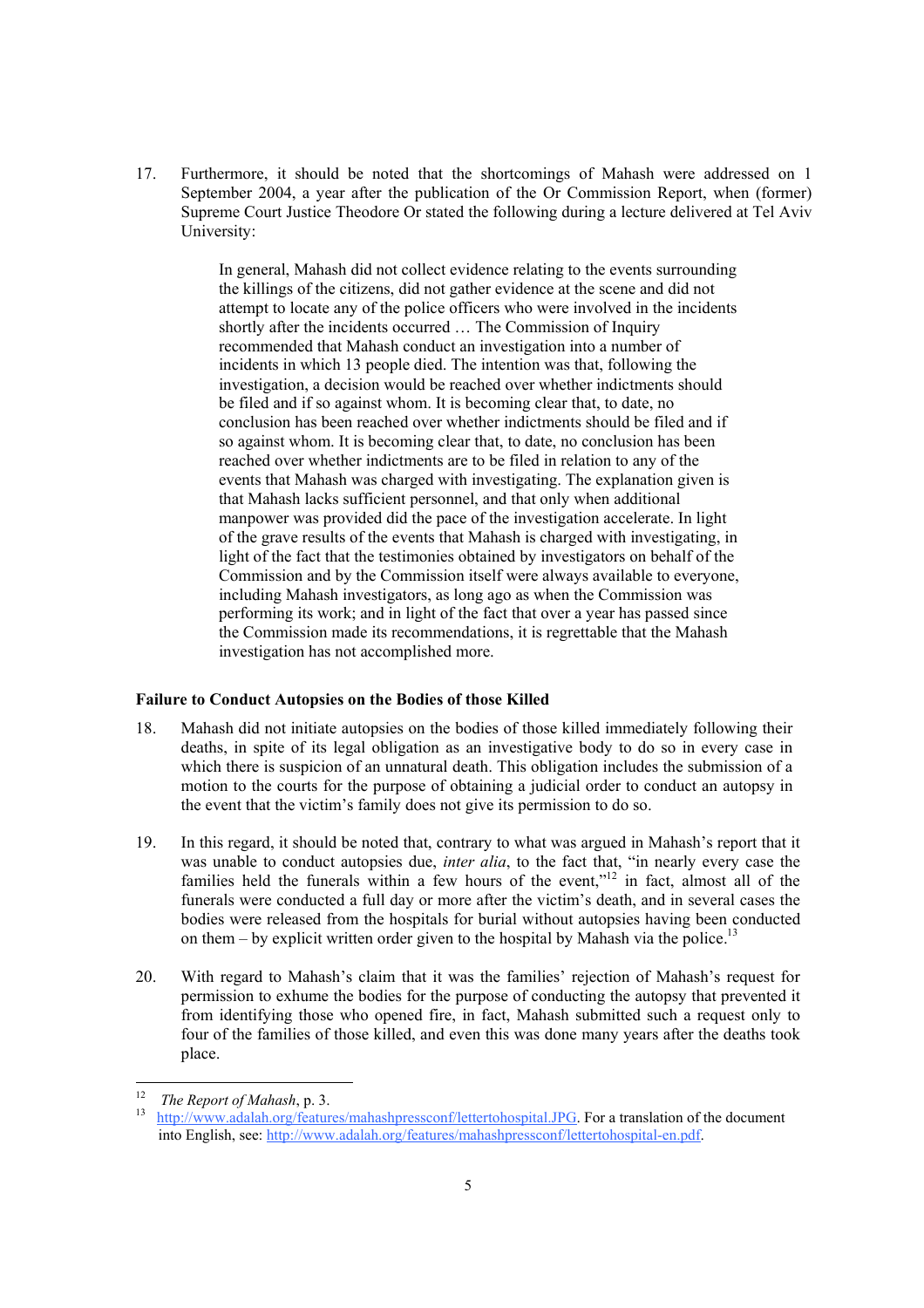17. Furthermore, it should be noted that the shortcomings of Mahash were addressed on 1 September 2004, a year after the publication of the Or Commission Report, when (former) Supreme Court Justice Theodore Or stated the following during a lecture delivered at Tel Aviv University:

> In general, Mahash did not collect evidence relating to the events surrounding the killings of the citizens, did not gather evidence at the scene and did not attempt to locate any of the police officers who were involved in the incidents shortly after the incidents occurred … The Commission of Inquiry recommended that Mahash conduct an investigation into a number of incidents in which 13 people died. The intention was that, following the investigation, a decision would be reached over whether indictments should be filed and if so against whom. It is becoming clear that, to date, no conclusion has been reached over whether indictments should be filed and if so against whom. It is becoming clear that, to date, no conclusion has been reached over whether indictments are to be filed in relation to any of the events that Mahash was charged with investigating. The explanation given is that Mahash lacks sufficient personnel, and that only when additional manpower was provided did the pace of the investigation accelerate. In light of the grave results of the events that Mahash is charged with investigating, in light of the fact that the testimonies obtained by investigators on behalf of the Commission and by the Commission itself were always available to everyone, including Mahash investigators, as long ago as when the Commission was performing its work; and in light of the fact that over a year has passed since the Commission made its recommendations, it is regrettable that the Mahash investigation has not accomplished more.

#### **Failure to Conduct Autopsies on the Bodies of those Killed**

- 18. Mahash did not initiate autopsies on the bodies of those killed immediately following their deaths, in spite of its legal obligation as an investigative body to do so in every case in which there is suspicion of an unnatural death. This obligation includes the submission of a motion to the courts for the purpose of obtaining a judicial order to conduct an autopsy in the event that the victim's family does not give its permission to do so.
- 19. In this regard, it should be noted that, contrary to what was argued in Mahash's report that it was unable to conduct autopsies due, *inter alia*, to the fact that, "in nearly every case the families held the funerals within a few hours of the event," $\frac{12}{12}$  in fact, almost all of the funerals were conducted a full day or more after the victim's death, and in several cases the bodies were released from the hospitals for burial without autopsies having been conducted on them – by explicit written order given to the hospital by Mahash via the police.<sup>13</sup>
- 20. With regard to Mahash's claim that it was the families' rejection of Mahash's request for permission to exhume the bodies for the purpose of conducting the autopsy that prevented it from identifying those who opened fire, in fact, Mahash submitted such a request only to four of the families of those killed, and even this was done many years after the deaths took place.

 $12$ 

<sup>&</sup>lt;sup>12</sup> *The Report of Mahash*, p. 3.<br><sup>13</sup> http://www.adalah.org/features/mahashpressconf/lettertohospital.JPG. For a translation of the document into English, see: http://www.adalah.org/features/mahashpressconf/lettertohospital-en.pdf.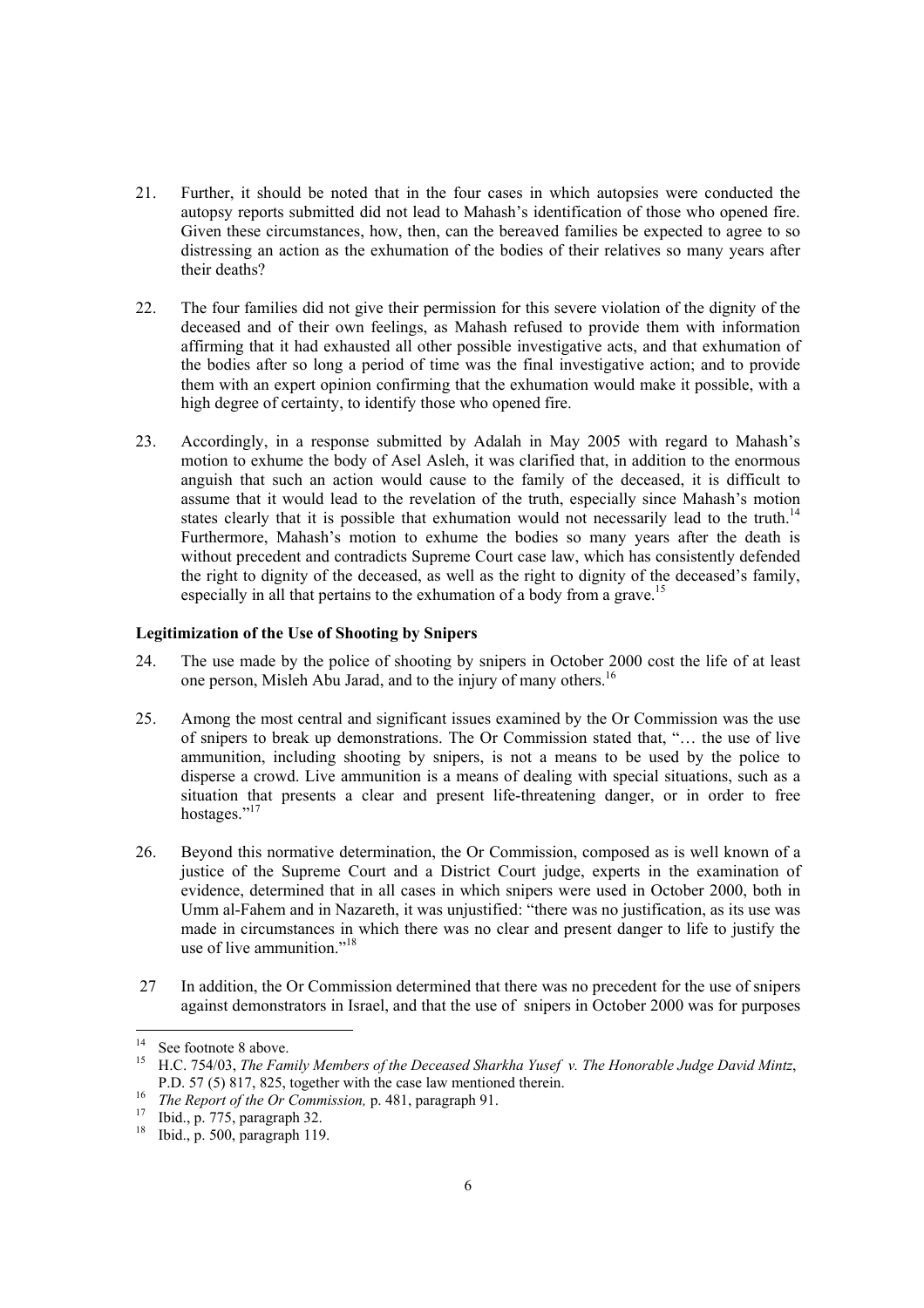- 21. Further, it should be noted that in the four cases in which autopsies were conducted the autopsy reports submitted did not lead to Mahash's identification of those who opened fire. Given these circumstances, how, then, can the bereaved families be expected to agree to so distressing an action as the exhumation of the bodies of their relatives so many years after their deaths?
- 22. The four families did not give their permission for this severe violation of the dignity of the deceased and of their own feelings, as Mahash refused to provide them with information affirming that it had exhausted all other possible investigative acts, and that exhumation of the bodies after so long a period of time was the final investigative action; and to provide them with an expert opinion confirming that the exhumation would make it possible, with a high degree of certainty, to identify those who opened fire.
- 23. Accordingly, in a response submitted by Adalah in May 2005 with regard to Mahash's motion to exhume the body of Asel Asleh, it was clarified that, in addition to the enormous anguish that such an action would cause to the family of the deceased, it is difficult to assume that it would lead to the revelation of the truth, especially since Mahash's motion states clearly that it is possible that exhumation would not necessarily lead to the truth.<sup>14</sup> Furthermore, Mahash's motion to exhume the bodies so many years after the death is without precedent and contradicts Supreme Court case law, which has consistently defended the right to dignity of the deceased, as well as the right to dignity of the deceased's family, especially in all that pertains to the exhumation of a body from a grave.<sup>15</sup>

### **Legitimization of the Use of Shooting by Snipers**

- 24. The use made by the police of shooting by snipers in October 2000 cost the life of at least one person, Misleh Abu Jarad, and to the injury of many others.<sup>16</sup>
- 25. Among the most central and significant issues examined by the Or Commission was the use of snipers to break up demonstrations. The Or Commission stated that, "… the use of live ammunition, including shooting by snipers, is not a means to be used by the police to disperse a crowd. Live ammunition is a means of dealing with special situations, such as a situation that presents a clear and present life-threatening danger, or in order to free hostages."<sup>17</sup>
- 26. Beyond this normative determination, the Or Commission, composed as is well known of a justice of the Supreme Court and a District Court judge, experts in the examination of evidence, determined that in all cases in which snipers were used in October 2000, both in Umm al-Fahem and in Nazareth, it was unjustified: "there was no justification, as its use was made in circumstances in which there was no clear and present danger to life to justify the use of live ammunition  $^{18}$
- In addition, the Or Commission determined that there was no precedent for the use of snipers 27 against demonstrators in Israel, and that the use of snipers in October 2000 was for purposes

 $14$ See footnote 8 above.

<sup>15</sup> H.C. 754/03, *The Family Members of the Deceased Sharkha Yusef v. The Honorable Judge David Mintz*,<br>P.D. 57 (5) 817, 825, together with the case law mentioned therein.

P. P. 57 (5) 817, 825, together with the case faw mentioned the<br> *The Report of the Or Commission*, p. 481, paragraph 91.<br>
<sup>17</sup> Ibid., p. 775, paragraph 32.<br>
<sup>18</sup> Ibid., p. 500, paragraph 119

<sup>18</sup> Ibid., p. 500, paragraph 119.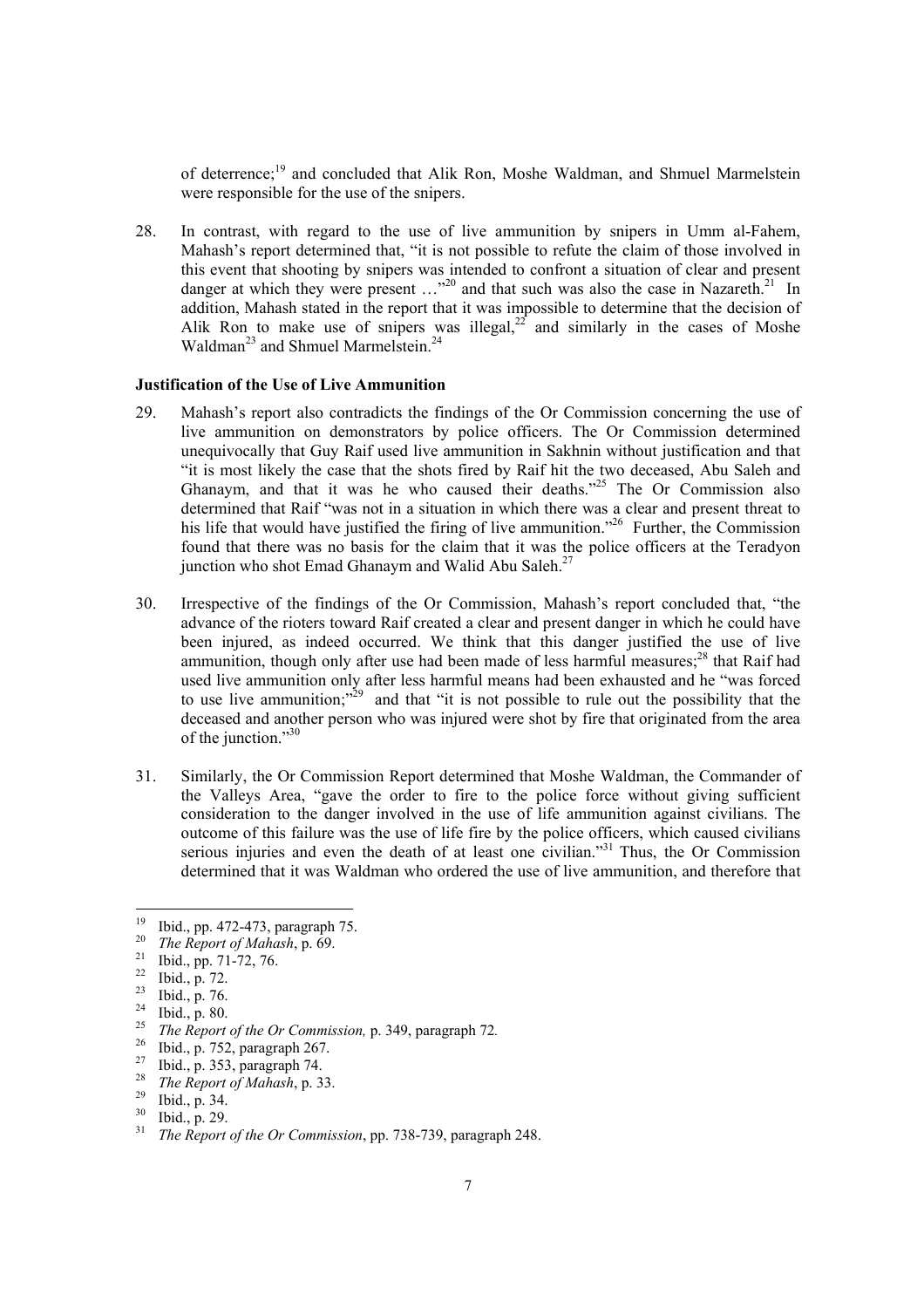of deterrence;<sup>19</sup> and concluded that Alik Ron, Moshe Waldman, and Shmuel Marmelstein were responsible for the use of the snipers.

28. In contrast, with regard to the use of live ammunition by snipers in Umm al-Fahem, Mahash's report determined that, "it is not possible to refute the claim of those involved in this event that shooting by snipers was intended to confront a situation of clear and present danger at which they were present  $\ldots$ <sup>20</sup> and that such was also the case in Nazareth.<sup>21</sup> In addition, Mahash stated in the report that it was impossible to determine that the decision of Alik Ron to make use of snipers was illegal,  $2^{2^2}$  and similarly in the cases of Moshe Waldman<sup>23</sup> and Shmuel Marmelstein<sup>24</sup>

# **Justification of the Use of Live Ammunition**

- 29. Mahash's report also contradicts the findings of the Or Commission concerning the use of live ammunition on demonstrators by police officers. The Or Commission determined unequivocally that Guy Raif used live ammunition in Sakhnin without justification and that "it is most likely the case that the shots fired by Raif hit the two deceased, Abu Saleh and Ghanaym, and that it was he who caused their deaths."25 The Or Commission also determined that Raif "was not in a situation in which there was a clear and present threat to his life that would have justified the firing of live ammunition.<sup>26</sup> Further, the Commission found that there was no basis for the claim that it was the police officers at the Teradyon junction who shot Emad Ghanaym and Walid Abu Saleh.<sup>27</sup>
- 30. Irrespective of the findings of the Or Commission, Mahash's report concluded that, "the advance of the rioters toward Raif created a clear and present danger in which he could have been injured, as indeed occurred. We think that this danger justified the use of live ammunition, though only after use had been made of less harmful measures; $^{28}$  that Raif had used live ammunition only after less harmful means had been exhausted and he "was forced to use live ammunition; $v^{29}$  and that "it is not possible to rule out the possibility that the deceased and another person who was injured were shot by fire that originated from the area of the junction."<sup>30</sup>
- 31. Similarly, the Or Commission Report determined that Moshe Waldman, the Commander of the Valleys Area, "gave the order to fire to the police force without giving sufficient consideration to the danger involved in the use of life ammunition against civilians. The outcome of this failure was the use of life fire by the police officers, which caused civilians serious injuries and even the death of at least one civilian."<sup>31</sup> Thus, the Or Commission determined that it was Waldman who ordered the use of live ammunition, and therefore that

<sup>28</sup> *The Report of Mahash*, p. 33.<br><sup>29</sup> Ibid., p. 34.<br><sup>30</sup> Ibid., p. 30.

<sup>&</sup>lt;sup>19</sup> Ibid., pp. 472-473, paragraph 75.<br><sup>20</sup> The Banaut of Makask, p. 60.

<sup>&</sup>lt;sup>20</sup> *The Report of Mahash*, p. 69.<br><sup>21</sup> Ibid., pp. 71-72, 76.

 $\frac{22}{23}$  Ibid., p. 72.

 $\frac{23}{24}$  Ibid., p. 76.

 $\frac{24}{25}$  Ibid., p. 80.

<sup>&</sup>lt;sup>25</sup>*The Report of the Or Commission,* p. 349, paragraph 72.<br><sup>26</sup> Ibid., p. 752, paragraph 267.

<sup>&</sup>lt;sup>27</sup> Ibid., p. 353, paragraph 74.

 $rac{30}{31}$  Ibid., p. 29.

<sup>31</sup> *The Report of the Or Commission*, pp. 738-739, paragraph 248.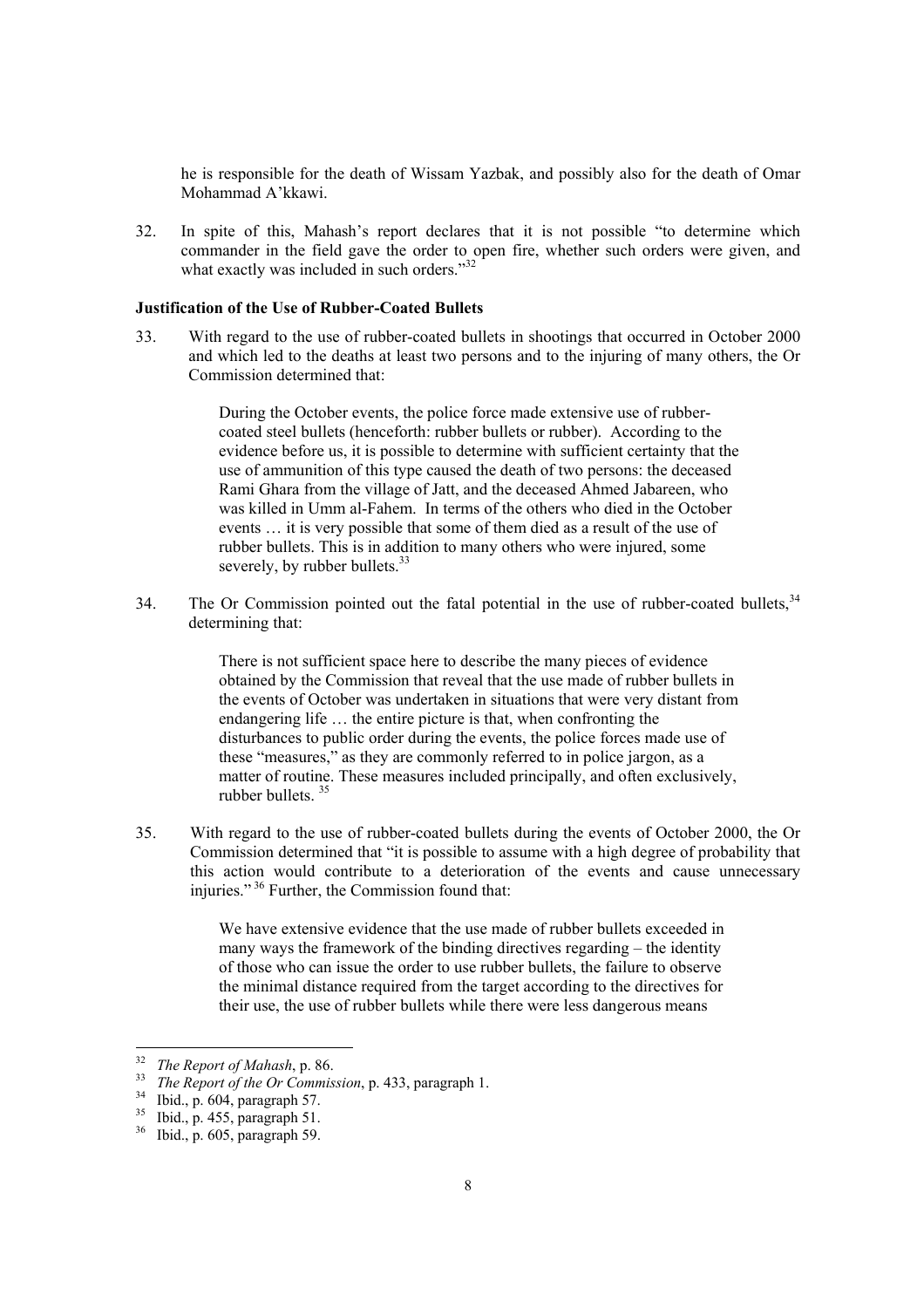he is responsible for the death of Wissam Yazbak, and possibly also for the death of Omar Mohammad A'kkawi.

32. In spite of this, Mahash's report declares that it is not possible "to determine which commander in the field gave the order to open fire, whether such orders were given, and what exactly was included in such orders."<sup>32</sup>

# **Justification of the Use of Rubber-Coated Bullets**

33. With regard to the use of rubber-coated bullets in shootings that occurred in October 2000 and which led to the deaths at least two persons and to the injuring of many others, the Or Commission determined that:

> During the October events, the police force made extensive use of rubbercoated steel bullets (henceforth: rubber bullets or rubber). According to the evidence before us, it is possible to determine with sufficient certainty that the use of ammunition of this type caused the death of two persons: the deceased Rami Ghara from the village of Jatt, and the deceased Ahmed Jabareen, who was killed in Umm al-Fahem. In terms of the others who died in the October events … it is very possible that some of them died as a result of the use of rubber bullets. This is in addition to many others who were injured, some severely, by rubber bullets.<sup>33</sup>

34. The Or Commission pointed out the fatal potential in the use of rubber-coated bullets,<sup>34</sup> determining that:

> There is not sufficient space here to describe the many pieces of evidence obtained by the Commission that reveal that the use made of rubber bullets in the events of October was undertaken in situations that were very distant from endangering life … the entire picture is that, when confronting the disturbances to public order during the events, the police forces made use of these "measures," as they are commonly referred to in police jargon, as a matter of routine. These measures included principally, and often exclusively, rubber bullets.  $35$

35. With regard to the use of rubber-coated bullets during the events of October 2000, the Or Commission determined that "it is possible to assume with a high degree of probability that this action would contribute to a deterioration of the events and cause unnecessary injuries." 36 Further, the Commission found that:

> We have extensive evidence that the use made of rubber bullets exceeded in many ways the framework of the binding directives regarding – the identity of those who can issue the order to use rubber bullets, the failure to observe the minimal distance required from the target according to the directives for their use, the use of rubber bullets while there were less dangerous means

 $32$ 

<sup>32</sup>*The Report of Mahash*, p. 86. 33 *The Report of the Or Commission*, p. 433, paragraph 1. 34 Ibid., p. 604, paragraph 57.

 $\frac{35}{36}$  Ibid., p. 455, paragraph 51.<br> $\frac{36}{36}$  Ibid. p. 605 paragraph 59.

<sup>36</sup> Ibid., p. 605, paragraph 59.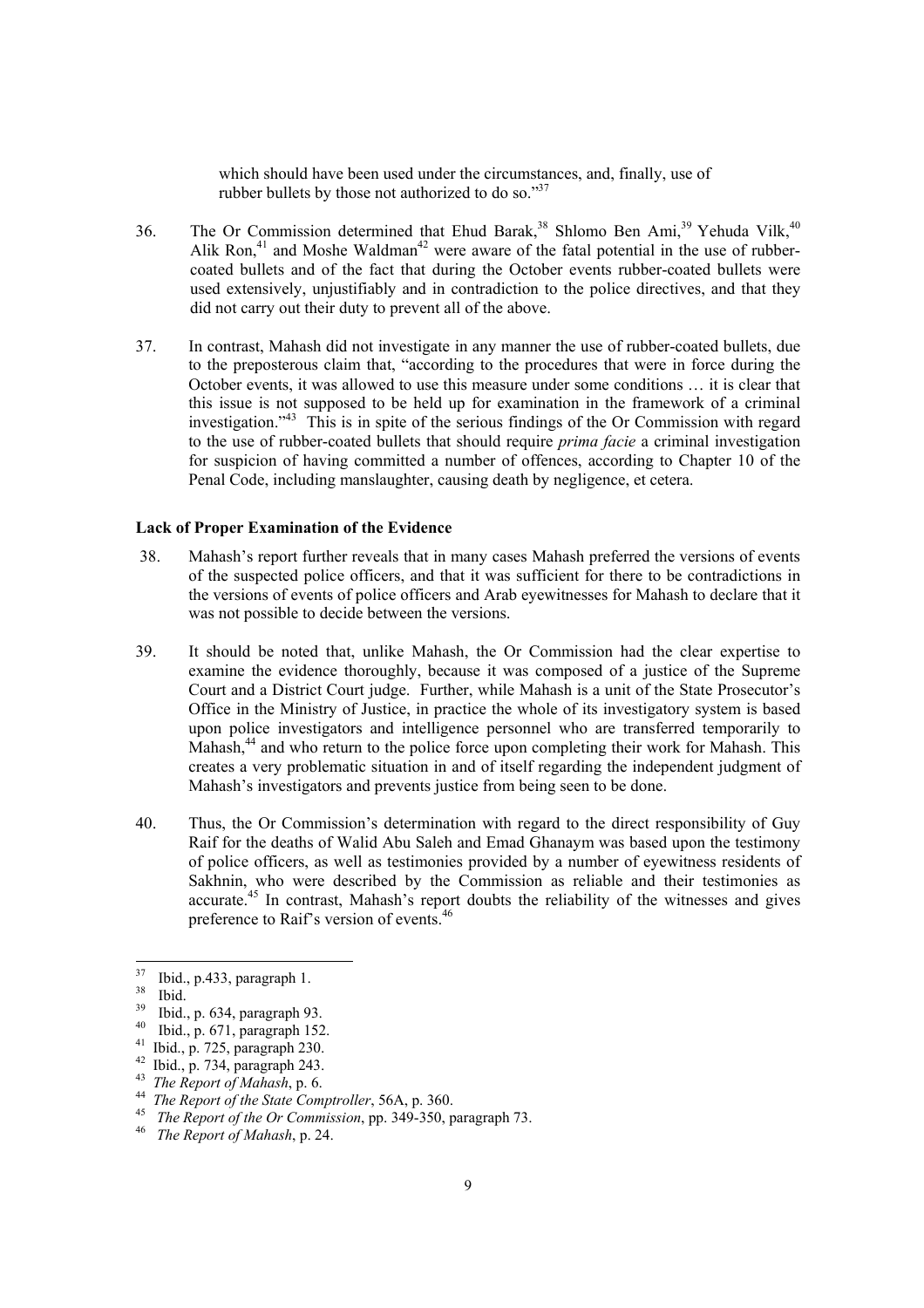which should have been used under the circumstances, and, finally, use of rubber bullets by those not authorized to do so."<sup>37</sup>

- 36. The Or Commission determined that Ehud Barak,<sup>38</sup> Shlomo Ben Ami,<sup>39</sup> Yehuda Vilk,<sup>40</sup> Alik Ron, $41$  and Moshe Waldman<sup>42</sup> were aware of the fatal potential in the use of rubbercoated bullets and of the fact that during the October events rubber-coated bullets were used extensively, unjustifiably and in contradiction to the police directives, and that they did not carry out their duty to prevent all of the above.
- 37. In contrast, Mahash did not investigate in any manner the use of rubber-coated bullets, due to the preposterous claim that, "according to the procedures that were in force during the October events, it was allowed to use this measure under some conditions … it is clear that this issue is not supposed to be held up for examination in the framework of a criminal investigation."43 This is in spite of the serious findings of the Or Commission with regard to the use of rubber-coated bullets that should require *prima facie* a criminal investigation for suspicion of having committed a number of offences, according to Chapter 10 of the Penal Code, including manslaughter, causing death by negligence, et cetera.

#### **Lack of Proper Examination of the Evidence**

- . Mahash's report further reveals that in many cases Mahash preferred the versions of events 38 of the suspected police officers, and that it was sufficient for there to be contradictions in the versions of events of police officers and Arab eyewitnesses for Mahash to declare that it was not possible to decide between the versions.
- 39. It should be noted that, unlike Mahash, the Or Commission had the clear expertise to examine the evidence thoroughly, because it was composed of a justice of the Supreme Court and a District Court judge. Further, while Mahash is a unit of the State Prosecutor's Office in the Ministry of Justice, in practice the whole of its investigatory system is based upon police investigators and intelligence personnel who are transferred temporarily to Mahash,<sup>44</sup> and who return to the police force upon completing their work for Mahash. This creates a very problematic situation in and of itself regarding the independent judgment of Mahash's investigators and prevents justice from being seen to be done.
- 40. Thus, the Or Commission's determination with regard to the direct responsibility of Guy Raif for the deaths of Walid Abu Saleh and Emad Ghanaym was based upon the testimony of police officers, as well as testimonies provided by a number of eyewitness residents of Sakhnin, who were described by the Commission as reliable and their testimonies as accurate.<sup>45</sup> In contrast, Mahash's report doubts the reliability of the witnesses and gives preference to Raif's version of events.<sup>46</sup>

<sup>37</sup>  $\frac{37}{38}$  Ibid., p.433, paragraph 1.

 $rac{38}{39}$  Ibid.

 $^{39}$  Ibid., p. 634, paragraph 93.

 $^{40}$  Ibid., p. 671, paragraph 152.

<sup>41</sup> Ibid., p. 725, paragraph 230.

<sup>&</sup>lt;sup>42</sup> Ibid., p. 734, paragraph 243.<br><sup>43</sup> *The Report of Mahash*, p. 6.

<sup>43</sup>*The Report of Mahash*, p. 6. 44 *The Report of the State Comptroller*, 56A, p. 360. 45 *The Report of the Or Commission*, pp. 349-350, paragraph 73. 46 *The Report of Mahash*, p. 24.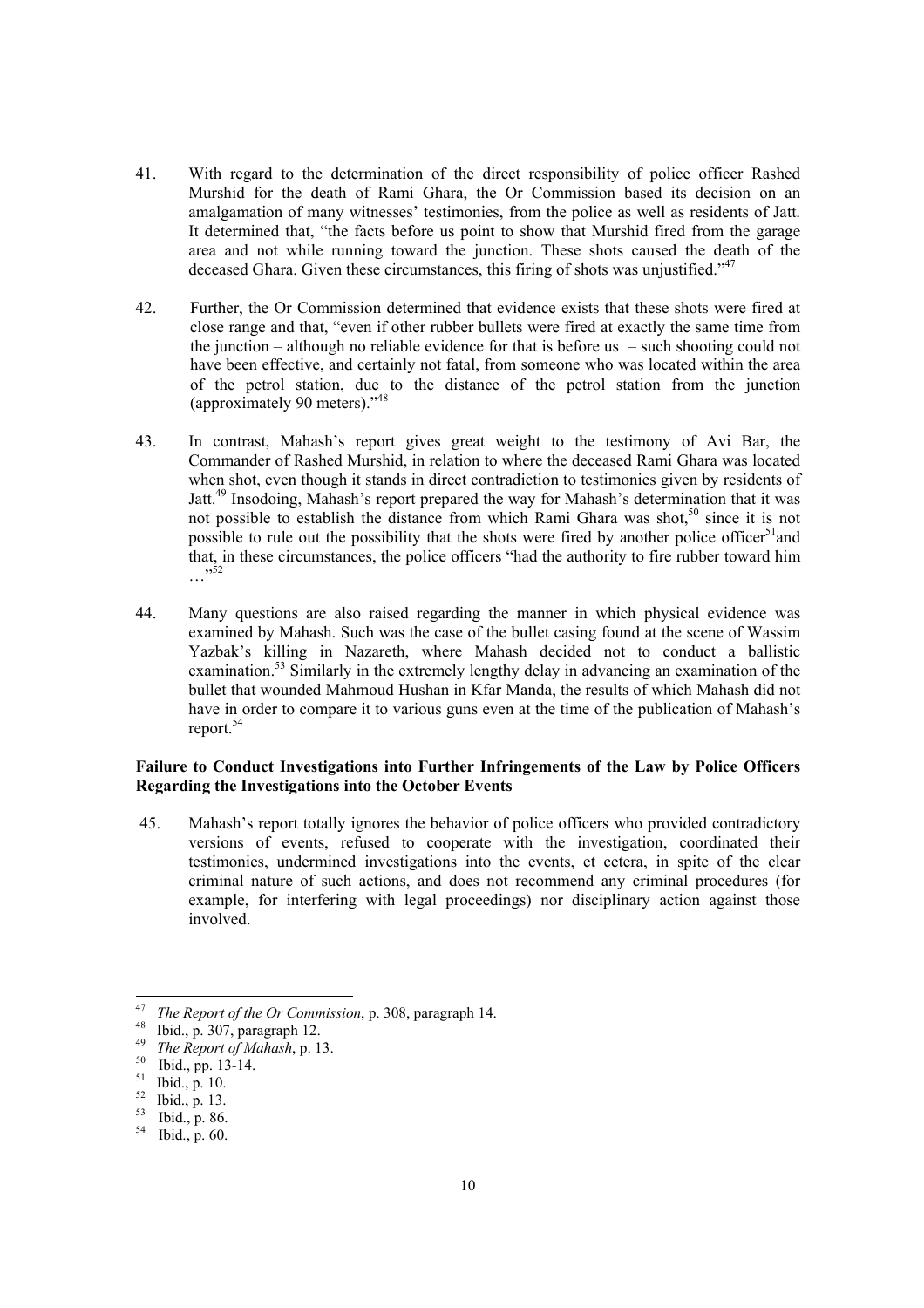- 41. With regard to the determination of the direct responsibility of police officer Rashed Murshid for the death of Rami Ghara, the Or Commission based its decision on an amalgamation of many witnesses' testimonies, from the police as well as residents of Jatt. It determined that, "the facts before us point to show that Murshid fired from the garage area and not while running toward the junction. These shots caused the death of the deceased Ghara. Given these circumstances, this firing of shots was unjustified."<sup>47</sup>
- 42. Further, the Or Commission determined that evidence exists that these shots were fired at close range and that, "even if other rubber bullets were fired at exactly the same time from the junction – although no reliable evidence for that is before us – such shooting could not have been effective, and certainly not fatal, from someone who was located within the area of the petrol station, due to the distance of the petrol station from the junction (approximately 90 meters)."48
- 43. In contrast, Mahash's report gives great weight to the testimony of Avi Bar, the Commander of Rashed Murshid, in relation to where the deceased Rami Ghara was located when shot, even though it stands in direct contradiction to testimonies given by residents of Jatt.49 Insodoing, Mahash's report prepared the way for Mahash's determination that it was not possible to establish the distance from which Rami Ghara was shot,<sup>50</sup> since it is not possible to rule out the possibility that the shots were fired by another police officer<sup>51</sup> and that, in these circumstances, the police officers "had the authority to fire rubber toward him  $\frac{1}{200}$ ...
- 44. Many questions are also raised regarding the manner in which physical evidence was examined by Mahash. Such was the case of the bullet casing found at the scene of Wassim Yazbak's killing in Nazareth, where Mahash decided not to conduct a ballistic examination.<sup>53</sup> Similarly in the extremely lengthy delay in advancing an examination of the bullet that wounded Mahmoud Hushan in Kfar Manda, the results of which Mahash did not have in order to compare it to various guns even at the time of the publication of Mahash's report.54

# **Failure to Conduct Investigations into Further Infringements of the Law by Police Officers Regarding the Investigations into the October Events**

 . Mahash's report totally ignores the behavior of police officers who provided contradictory 45 versions of events, refused to cooperate with the investigation, coordinated their testimonies, undermined investigations into the events, et cetera, in spite of the clear criminal nature of such actions, and does not recommend any criminal procedures (for example, for interfering with legal proceedings) nor disciplinary action against those involved.

<sup>47</sup> <sup>47</sup>*The Report of the Or Commission*, p. 308, paragraph 14. 48 Ibid., p. 307, paragraph 12.

<sup>&</sup>lt;sup>49</sup> *The Report of Mahash*, p. 13.<br><sup>50</sup> Ibid., pp. 13-14.

 $\frac{51}{52}$  Ibid., p. 10.

 $\frac{52}{53}$  Ibid., p. 13.

 $^{53}$  Ibid., p. 86.<br> $^{54}$  Ibid. p. 60.

Ibid., p. 60.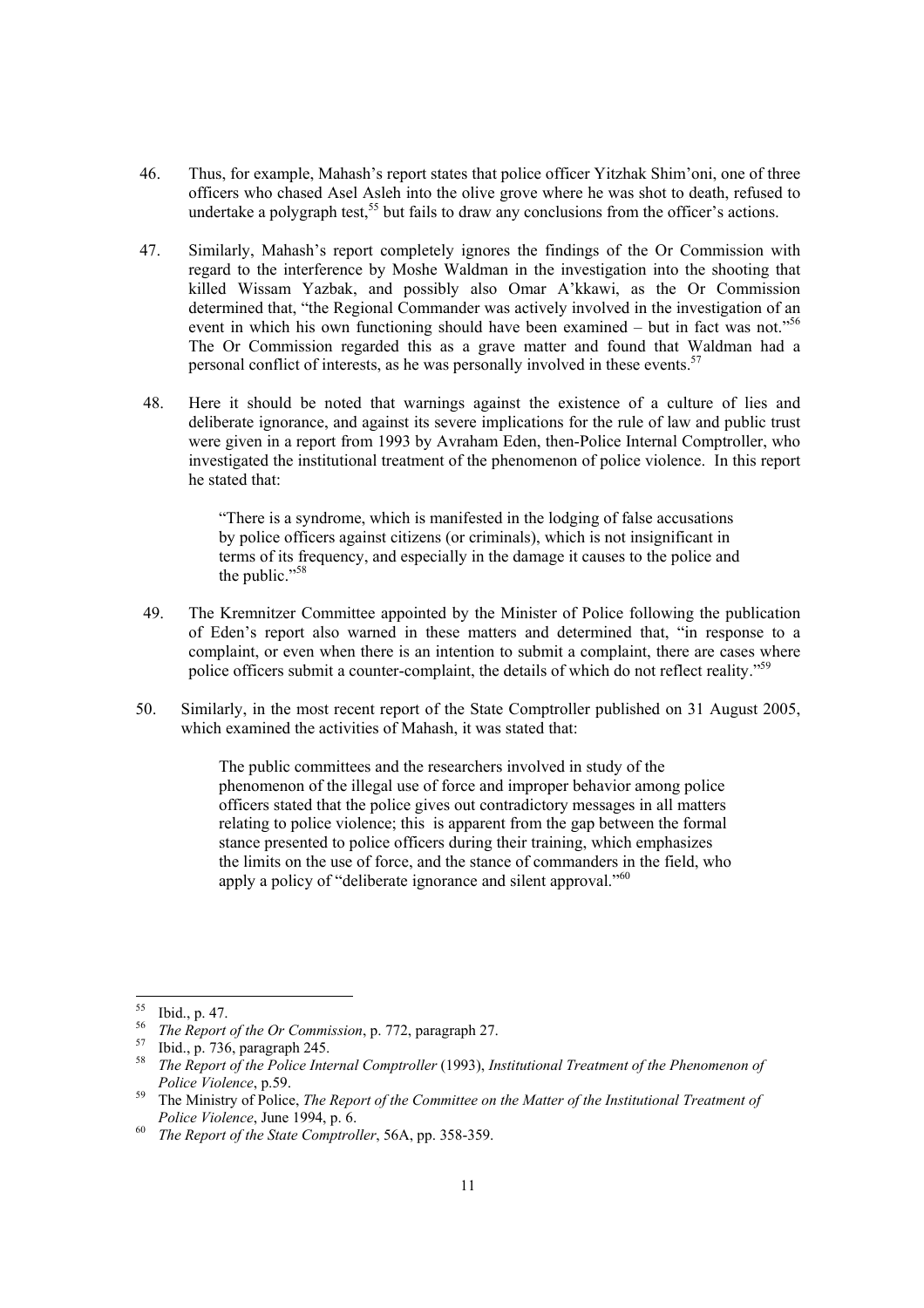- 46. Thus, for example, Mahash's report states that police officer Yitzhak Shim'oni, one of three officers who chased Asel Asleh into the olive grove where he was shot to death, refused to undertake a polygraph test,<sup>55</sup> but fails to draw any conclusions from the officer's actions.
- . Similarly, Mahash's report completely ignores the findings of the Or Commission with 47 regard to the interference by Moshe Waldman in the investigation into the shooting that killed Wissam Yazbak, and possibly also Omar A'kkawi, as the Or Commission determined that, "the Regional Commander was actively involved in the investigation of an event in which his own functioning should have been examined – but in fact was not." $56$ The Or Commission regarded this as a grave matter and found that Waldman had a personal conflict of interests, as he was personally involved in these events.<sup>57</sup>
- 48. Here it should be noted that warnings against the existence of a culture of lies and deliberate ignorance, and against its severe implications for the rule of law and public trust were given in a report from 1993 by Avraham Eden, then-Police Internal Comptroller, who investigated the institutional treatment of the phenomenon of police violence. In this report he stated that:

"There is a syndrome, which is manifested in the lodging of false accusations by police officers against citizens (or criminals), which is not insignificant in terms of its frequency, and especially in the damage it causes to the police and the public."<sup>58</sup>

- 49. The Kremnitzer Committee appointed by the Minister of Police following the publication of Eden's report also warned in these matters and determined that, "in response to a complaint, or even when there is an intention to submit a complaint, there are cases where police officers submit a counter-complaint, the details of which do not reflect reality."59
- 50. Similarly, in the most recent report of the State Comptroller published on 31 August 2005, which examined the activities of Mahash, it was stated that:

The public committees and the researchers involved in study of the phenomenon of the illegal use of force and improper behavior among police officers stated that the police gives out contradictory messages in all matters relating to police violence; this is apparent from the gap between the formal stance presented to police officers during their training, which emphasizes the limits on the use of force, and the stance of commanders in the field, who apply a policy of "deliberate ignorance and silent approval."<sup>60</sup>

 $55$  $\frac{55}{56}$  Ibid., p. 47.

<sup>&</sup>lt;sup>56</sup>*The Report of the Or Commission*, p. 772, paragraph 27.<br><sup>57</sup> Ibid., p. 736, paragraph 245.<br><sup>58</sup> The Brusset of the Belize Internal Country llay (1993).

<sup>58</sup> *The Report of the Police Internal Comptroller* (1993), *Institutional Treatment of the Phenomenon of Police Violence*, p.59.<br><sup>59</sup> The Ministry of Police, *The Report of the Committee on the Matter of the Institutional Treatment of* 

*Police Violence*, June 1994, p. 6.<br><sup>60</sup> *The Report of the State Comptroller*, 56A, pp. 358-359.